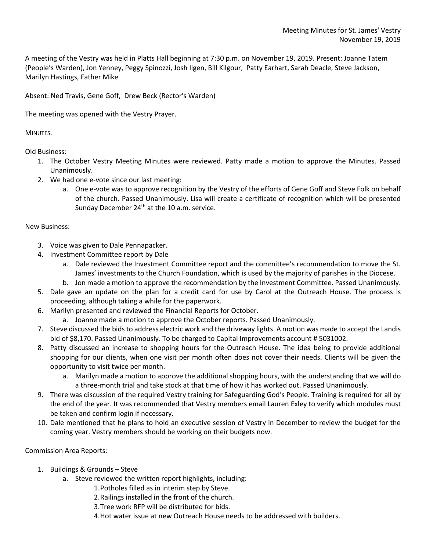A meeting of the Vestry was held in Platts Hall beginning at 7:30 p.m. on November 19, 2019. Present: Joanne Tatem (People's Warden), Jon Yenney, Peggy Spinozzi, Josh Ilgen, Bill Kilgour, Patty Earhart, Sarah Deacle, Steve Jackson, Marilyn Hastings, Father Mike

Absent: Ned Travis, Gene Goff, Drew Beck (Rector's Warden)

The meeting was opened with the Vestry Prayer.

MINUTES.

Old Business:

- 1. The October Vestry Meeting Minutes were reviewed. Patty made a motion to approve the Minutes. Passed Unanimously.
- 2. We had one e-vote since our last meeting:
	- a. One e-vote was to approve recognition by the Vestry of the efforts of Gene Goff and Steve Folk on behalf of the church. Passed Unanimously. Lisa will create a certificate of recognition which will be presented Sunday December  $24<sup>th</sup>$  at the 10 a.m. service.

## New Business:

- 3. Voice was given to Dale Pennapacker.
- 4. Investment Committee report by Dale
	- a. Dale reviewed the Investment Committee report and the committee's recommendation to move the St. James' investments to the Church Foundation, which is used by the majority of parishes in the Diocese.
	- b. Jon made a motion to approve the recommendation by the Investment Committee. Passed Unanimously.
- 5. Dale gave an update on the plan for a credit card for use by Carol at the Outreach House. The process is proceeding, although taking a while for the paperwork.
- 6. Marilyn presented and reviewed the Financial Reports for October.
	- a. Joanne made a motion to approve the October reports. Passed Unanimously.
- 7. Steve discussed the bids to address electric work and the driveway lights. A motion was made to accept the Landis bid of \$8,170. Passed Unanimously. To be charged to Capital Improvements account # 5031002.
- 8. Patty discussed an increase to shopping hours for the Outreach House. The idea being to provide additional shopping for our clients, when one visit per month often does not cover their needs. Clients will be given the opportunity to visit twice per month.
	- a. Marilyn made a motion to approve the additional shopping hours, with the understanding that we will do a three-month trial and take stock at that time of how it has worked out. Passed Unanimously.
- 9. There was discussion of the required Vestry training for Safeguarding God's People. Training is required for all by the end of the year. It was recommended that Vestry members email Lauren Exley to verify which modules must be taken and confirm login if necessary.
- 10. Dale mentioned that he plans to hold an executive session of Vestry in December to review the budget for the coming year. Vestry members should be working on their budgets now.

Commission Area Reports:

- 1. Buildings & Grounds Steve
	- a. Steve reviewed the written report highlights, including:
		- 1.Potholes filled as in interim step by Steve.
		- 2.Railings installed in the front of the church.
		- 3.Tree work RFP will be distributed for bids.
		- 4.Hot water issue at new Outreach House needs to be addressed with builders.